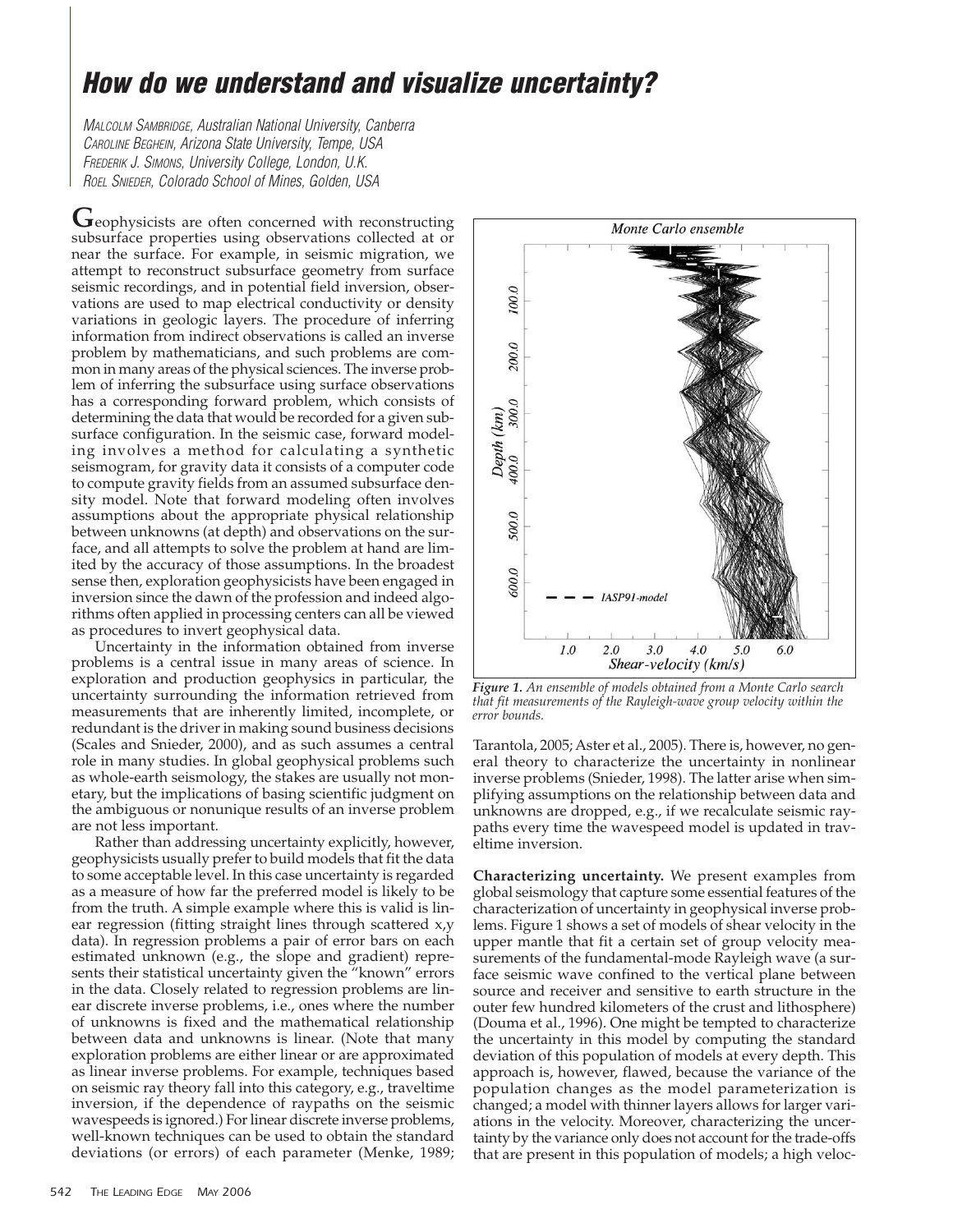## **How do we understand and visualize uncertainty?**

MALCOLM SAMBRIDGE, Australian National University, Canberra CAROLINE BEGHEIN, Arizona State University, Tempe, USA FREDERIK J. SIMONS, University College, London, U.K. ROEL SNIEDER, Colorado School of Mines, Golden, USA

Geophysicists are often concerned with reconstructing subsurface properties using observations collected at or near the surface. For example, in seismic migration, we attempt to reconstruct subsurface geometry from surface seismic recordings, and in potential field inversion, observations are used to map electrical conductivity or density variations in geologic layers. The procedure of inferring information from indirect observations is called an inverse problem by mathematicians, and such problems are common in many areas of the physical sciences. The inverse problem of inferring the subsurface using surface observations has a corresponding forward problem, which consists of determining the data that would be recorded for a given subsurface configuration. In the seismic case, forward modeling involves a method for calculating a synthetic seismogram, for gravity data it consists of a computer code to compute gravity fields from an assumed subsurface density model. Note that forward modeling often involves assumptions about the appropriate physical relationship between unknowns (at depth) and observations on the surface, and all attempts to solve the problem at hand are limited by the accuracy of those assumptions. In the broadest sense then, exploration geophysicists have been engaged in inversion since the dawn of the profession and indeed algorithms often applied in processing centers can all be viewed as procedures to invert geophysical data.

Uncertainty in the information obtained from inverse problems is a central issue in many areas of science. In exploration and production geophysics in particular, the uncertainty surrounding the information retrieved from measurements that are inherently limited, incomplete, or redundant is the driver in making sound business decisions (Scales and Snieder, 2000), and as such assumes a central role in many studies. In global geophysical problems such as whole-earth seismology, the stakes are usually not monetary, but the implications of basing scientific judgment on the ambiguous or nonunique results of an inverse problem are not less important.

Rather than addressing uncertainty explicitly, however, geophysicists usually prefer to build models that fit the data to some acceptable level. In this case uncertainty is regarded as a measure of how far the preferred model is likely to be from the truth. A simple example where this is valid is linear regression (fitting straight lines through scattered x,y data). In regression problems a pair of error bars on each estimated unknown (e.g., the slope and gradient) represents their statistical uncertainty given the "known" errors in the data. Closely related to regression problems are linear discrete inverse problems, i.e., ones where the number of unknowns is fixed and the mathematical relationship between data and unknowns is linear. (Note that many exploration problems are either linear or are approximated as linear inverse problems. For example, techniques based on seismic ray theory fall into this category, e.g., traveltime inversion, if the dependence of raypaths on the seismic wavespeeds is ignored.) For linear discrete inverse problems, well-known techniques can be used to obtain the standard deviations (or errors) of each parameter (Menke, 1989;



*Figure 1. An ensemble of models obtained from a Monte Carlo search that fit measurements of the Rayleigh-wave group velocity within the error bounds.*

Tarantola, 2005; Aster et al., 2005). There is, however, no general theory to characterize the uncertainty in nonlinear inverse problems (Snieder, 1998). The latter arise when simplifying assumptions on the relationship between data and unknowns are dropped, e.g., if we recalculate seismic raypaths every time the wavespeed model is updated in traveltime inversion.

**Characterizing uncertainty.** We present examples from global seismology that capture some essential features of the characterization of uncertainty in geophysical inverse problems. Figure 1 shows a set of models of shear velocity in the upper mantle that fit a certain set of group velocity measurements of the fundamental-mode Rayleigh wave (a surface seismic wave confined to the vertical plane between source and receiver and sensitive to earth structure in the outer few hundred kilometers of the crust and lithosphere) (Douma et al., 1996). One might be tempted to characterize the uncertainty in this model by computing the standard deviation of this population of models at every depth. This approach is, however, flawed, because the variance of the population changes as the model parameterization is changed; a model with thinner layers allows for larger variations in the velocity. Moreover, characterizing the uncertainty by the variance only does not account for the trade-offs that are present in this population of models; a high veloc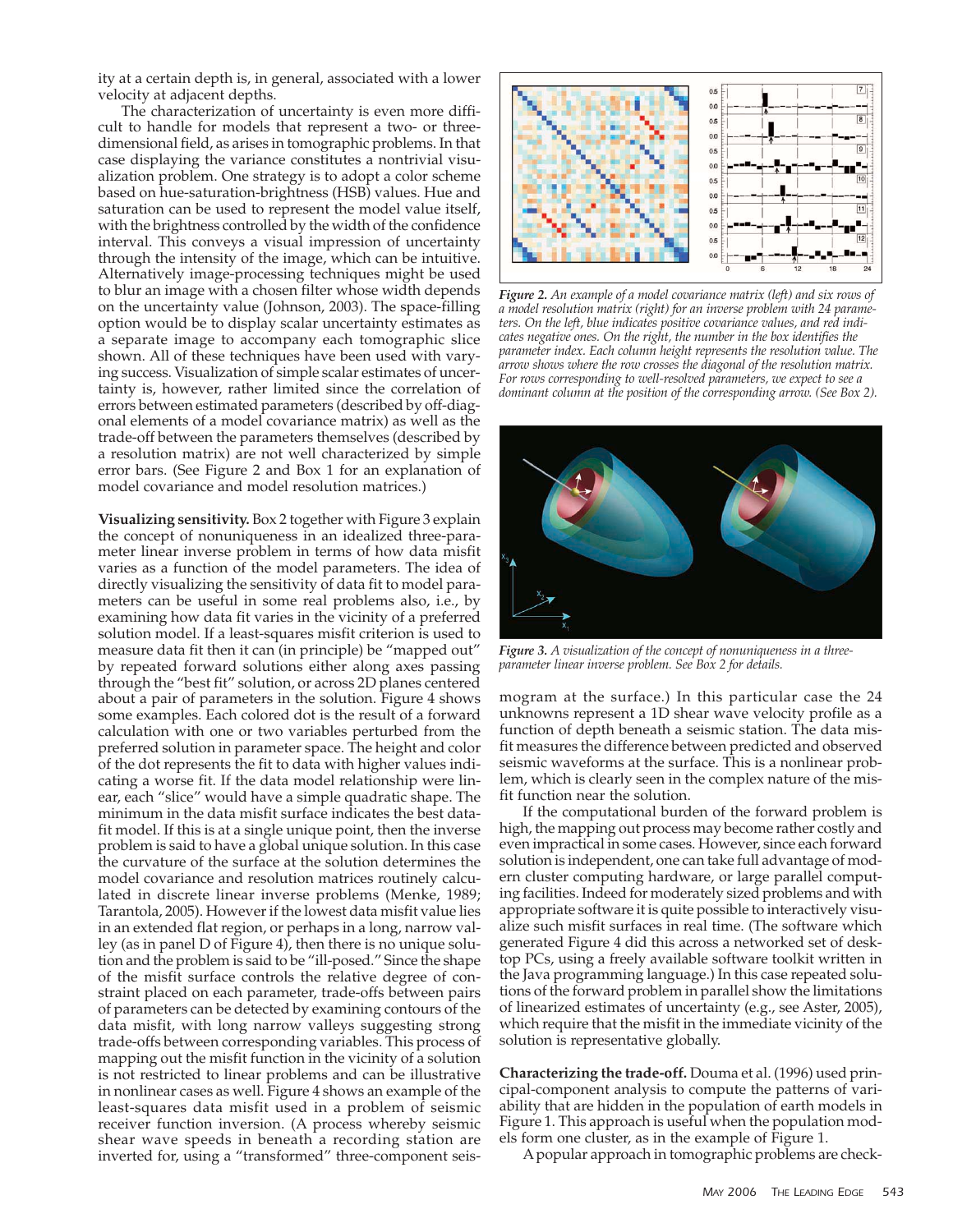ity at a certain depth is, in general, associated with a lower velocity at adjacent depths.

The characterization of uncertainty is even more difficult to handle for models that represent a two- or threedimensional field, as arises in tomographic problems. In that case displaying the variance constitutes a nontrivial visualization problem. One strategy is to adopt a color scheme based on hue-saturation-brightness (HSB) values. Hue and saturation can be used to represent the model value itself, with the brightness controlled by the width of the confidence interval. This conveys a visual impression of uncertainty through the intensity of the image, which can be intuitive. Alternatively image-processing techniques might be used to blur an image with a chosen filter whose width depends on the uncertainty value (Johnson, 2003). The space-filling option would be to display scalar uncertainty estimates as a separate image to accompany each tomographic slice shown. All of these techniques have been used with varying success. Visualization of simple scalar estimates of uncertainty is, however, rather limited since the correlation of errors between estimated parameters (described by off-diagonal elements of a model covariance matrix) as well as the trade-off between the parameters themselves (described by a resolution matrix) are not well characterized by simple error bars. (See Figure 2 and Box 1 for an explanation of model covariance and model resolution matrices.)

**Visualizing sensitivity.** Box 2 together with Figure 3 explain the concept of nonuniqueness in an idealized three-parameter linear inverse problem in terms of how data misfit varies as a function of the model parameters. The idea of directly visualizing the sensitivity of data fit to model parameters can be useful in some real problems also, i.e., by examining how data fit varies in the vicinity of a preferred solution model. If a least-squares misfit criterion is used to measure data fit then it can (in principle) be "mapped out" by repeated forward solutions either along axes passing through the "best fit" solution, or across 2D planes centered about a pair of parameters in the solution. Figure 4 shows some examples. Each colored dot is the result of a forward calculation with one or two variables perturbed from the preferred solution in parameter space. The height and color of the dot represents the fit to data with higher values indicating a worse fit. If the data model relationship were linear, each "slice" would have a simple quadratic shape. The minimum in the data misfit surface indicates the best datafit model. If this is at a single unique point, then the inverse problem is said to have a global unique solution. In this case the curvature of the surface at the solution determines the model covariance and resolution matrices routinely calculated in discrete linear inverse problems (Menke, 1989; Tarantola, 2005). However if the lowest data misfit value lies in an extended flat region, or perhaps in a long, narrow valley (as in panel D of Figure 4), then there is no unique solution and the problem is said to be "ill-posed." Since the shape of the misfit surface controls the relative degree of constraint placed on each parameter, trade-offs between pairs of parameters can be detected by examining contours of the data misfit, with long narrow valleys suggesting strong trade-offs between corresponding variables. This process of mapping out the misfit function in the vicinity of a solution is not restricted to linear problems and can be illustrative in nonlinear cases as well. Figure 4 shows an example of the least-squares data misfit used in a problem of seismic receiver function inversion. (A process whereby seismic shear wave speeds in beneath a recording station are inverted for, using a "transformed" three-component seis-



*Figure 2. An example of a model covariance matrix (left) and six rows of a model resolution matrix (right) for an inverse problem with 24 parameters. On the left, blue indicates positive covariance values, and red indicates negative ones. On the right, the number in the box identifies the parameter index. Each column height represents the resolution value. The arrow shows where the row crosses the diagonal of the resolution matrix. For rows corresponding to well-resolved parameters, we expect to see a dominant column at the position of the corresponding arrow. (See Box 2).*



*Figure 3. A visualization of the concept of nonuniqueness in a threeparameter linear inverse problem. See Box 2 for details.*

mogram at the surface.) In this particular case the 24 unknowns represent a 1D shear wave velocity profile as a function of depth beneath a seismic station. The data misfit measures the difference between predicted and observed seismic waveforms at the surface. This is a nonlinear problem, which is clearly seen in the complex nature of the misfit function near the solution.

If the computational burden of the forward problem is high, the mapping out process may become rather costly and even impractical in some cases. However, since each forward solution is independent, one can take full advantage of modern cluster computing hardware, or large parallel computing facilities. Indeed for moderately sized problems and with appropriate software it is quite possible to interactively visualize such misfit surfaces in real time. (The software which generated Figure 4 did this across a networked set of desktop PCs, using a freely available software toolkit written in the Java programming language.) In this case repeated solutions of the forward problem in parallel show the limitations of linearized estimates of uncertainty (e.g., see Aster, 2005), which require that the misfit in the immediate vicinity of the solution is representative globally.

**Characterizing the trade-off.** Douma et al. (1996) used principal-component analysis to compute the patterns of variability that are hidden in the population of earth models in Figure 1. This approach is useful when the population models form one cluster, as in the example of Figure 1.

A popular approach in tomographic problems are check-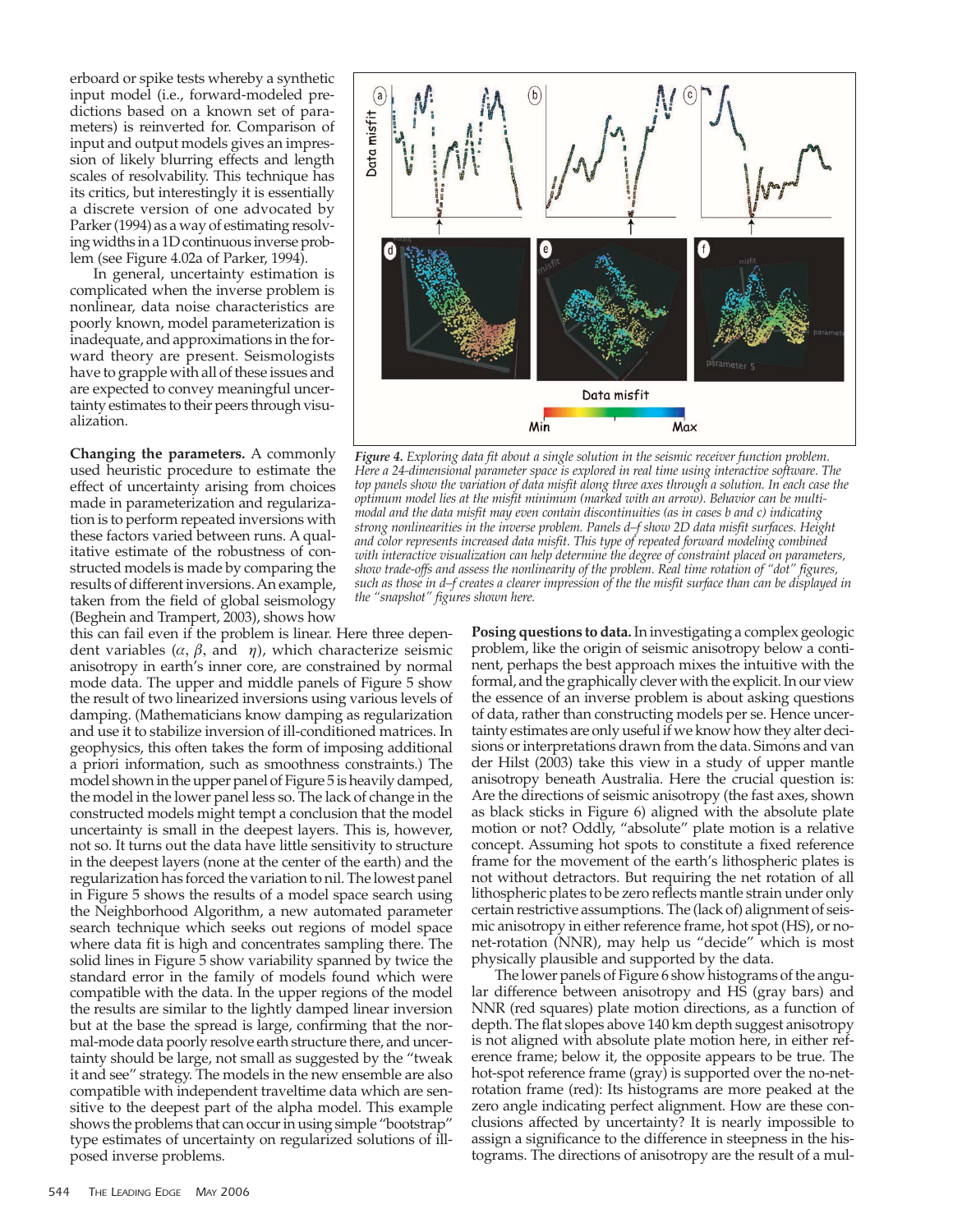erboard or spike tests whereby a synthetic input model (i.e., forward-modeled predictions based on a known set of parameters) is reinverted for. Comparison of input and output models gives an impression of likely blurring effects and length scales of resolvability. This technique has its critics, but interestingly it is essentially a discrete version of one advocated by Parker (1994) as a way of estimating resolving widths in a 1D continuous inverse problem (see Figure 4.02a of Parker, 1994).

In general, uncertainty estimation is complicated when the inverse problem is nonlinear, data noise characteristics are poorly known, model parameterization is inadequate, and approximations in the forward theory are present. Seismologists have to grapple with all of these issues and are expected to convey meaningful uncertainty estimates to their peers through visualization.

**Changing the parameters.** A commonly used heuristic procedure to estimate the effect of uncertainty arising from choices made in parameterization and regularization is to perform repeated inversions with these factors varied between runs. A qualitative estimate of the robustness of constructed models is made by comparing the results of different inversions. An example, taken from the field of global seismology (Beghein and Trampert, 2003), shows how

this can fail even if the problem is linear. Here three dependent variables  $(\alpha, \beta, \text{and } \eta)$ , which characterize seismic anisotropy in earth's inner core, are constrained by normal mode data. The upper and middle panels of Figure 5 show the result of two linearized inversions using various levels of damping. (Mathematicians know damping as regularization and use it to stabilize inversion of ill-conditioned matrices. In geophysics, this often takes the form of imposing additional a priori information, such as smoothness constraints.) The model shown in the upper panel of Figure 5 is heavily damped, the model in the lower panel less so. The lack of change in the constructed models might tempt a conclusion that the model uncertainty is small in the deepest layers. This is, however, not so. It turns out the data have little sensitivity to structure in the deepest layers (none at the center of the earth) and the regularization has forced the variation to nil. The lowest panel in Figure 5 shows the results of a model space search using the Neighborhood Algorithm, a new automated parameter search technique which seeks out regions of model space where data fit is high and concentrates sampling there. The solid lines in Figure 5 show variability spanned by twice the standard error in the family of models found which were compatible with the data. In the upper regions of the model the results are similar to the lightly damped linear inversion but at the base the spread is large, confirming that the normal-mode data poorly resolve earth structure there, and uncertainty should be large, not small as suggested by the "tweak it and see" strategy. The models in the new ensemble are also compatible with independent traveltime data which are sensitive to the deepest part of the alpha model. This example shows the problems that can occur in using simple "bootstrap" type estimates of uncertainty on regularized solutions of illposed inverse problems.



*Figure 4. Exploring data fit about a single solution in the seismic receiver function problem. Here a 24-dimensional parameter space is explored in real time using interactive software. The top panels show the variation of data misfit along three axes through a solution. In each case the optimum model lies at the misfit minimum (marked with an arrow). Behavior can be multimodal and the data misfit may even contain discontinuities (as in cases b and c) indicating strong nonlinearities in the inverse problem. Panels d–f show 2D data misfit surfaces. Height and color represents increased data misfit. This type of repeated forward modeling combined with interactive visualization can help determine the degree of constraint placed on parameters, show trade-offs and assess the nonlinearity of the problem. Real time rotation of "dot" figures, such as those in d–f creates a clearer impression of the the misfit surface than can be displayed in the "snapshot" figures shown here.*

**Posing questions to data.**In investigating a complex geologic problem, like the origin of seismic anisotropy below a continent, perhaps the best approach mixes the intuitive with the formal, and the graphically clever with the explicit. In our view the essence of an inverse problem is about asking questions of data, rather than constructing models per se. Hence uncertainty estimates are only useful if we know how they alter decisions or interpretations drawn from the data. Simons and van der Hilst (2003) take this view in a study of upper mantle anisotropy beneath Australia. Here the crucial question is: Are the directions of seismic anisotropy (the fast axes, shown as black sticks in Figure 6) aligned with the absolute plate motion or not? Oddly, "absolute" plate motion is a relative concept. Assuming hot spots to constitute a fixed reference frame for the movement of the earth's lithospheric plates is not without detractors. But requiring the net rotation of all lithospheric plates to be zero reflects mantle strain under only certain restrictive assumptions. The (lack of) alignment of seismic anisotropy in either reference frame, hot spot (HS), or nonet-rotation (NNR), may help us "decide" which is most physically plausible and supported by the data.

The lower panels of Figure 6 show histograms of the angular difference between anisotropy and HS (gray bars) and NNR (red squares) plate motion directions, as a function of depth. The flat slopes above 140 km depth suggest anisotropy is not aligned with absolute plate motion here, in either reference frame; below it, the opposite appears to be true. The hot-spot reference frame (gray) is supported over the no-netrotation frame (red): Its histograms are more peaked at the zero angle indicating perfect alignment. How are these conclusions affected by uncertainty? It is nearly impossible to assign a significance to the difference in steepness in the histograms. The directions of anisotropy are the result of a mul-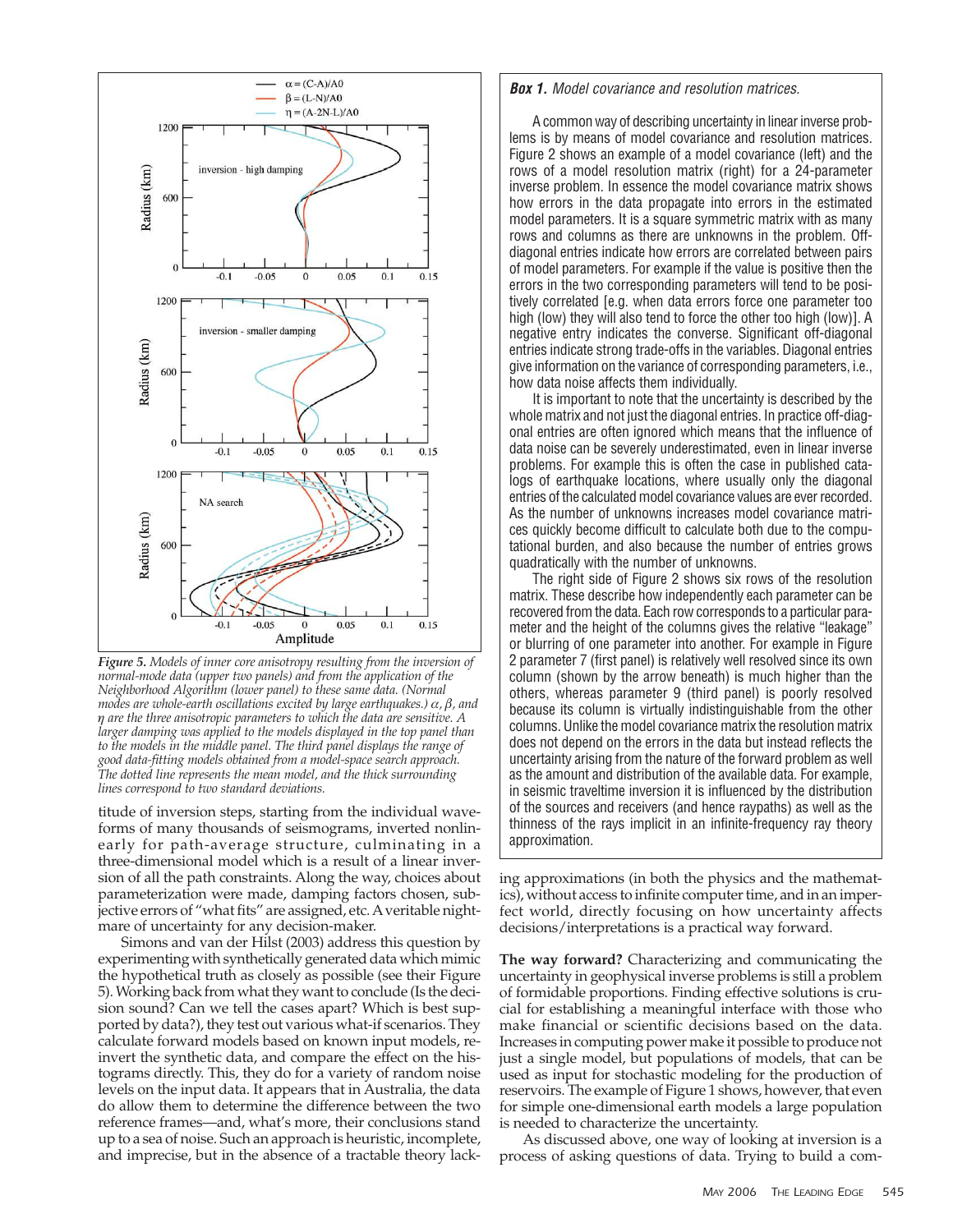

*Figure 5. Models of inner core anisotropy resulting from the inversion of normal-mode data (upper two panels) and from the application of the Neighborhood Algorithm (lower panel) to these same data. (Normal modes are whole-earth oscillations excited by large earthquakes.)* α*,* β*, and* η *are the three anisotropic parameters to which the data are sensitive. A larger damping was applied to the models displayed in the top panel than to the models in the middle panel. The third panel displays the range of good data-fitting models obtained from a model-space search approach. The dotted line represents the mean model, and the thick surrounding lines correspond to two standard deviations.*

titude of inversion steps, starting from the individual waveforms of many thousands of seismograms, inverted nonlinearly for path-average structure, culminating in a three-dimensional model which is a result of a linear inversion of all the path constraints. Along the way, choices about parameterization were made, damping factors chosen, subjective errors of "what fits" are assigned, etc. Averitable nightmare of uncertainty for any decision-maker.

Simons and van der Hilst (2003) address this question by experimenting with synthetically generated data which mimic the hypothetical truth as closely as possible (see their Figure 5). Working back from what they want to conclude (Is the decision sound? Can we tell the cases apart? Which is best supported by data?), they test out various what-if scenarios. They calculate forward models based on known input models, reinvert the synthetic data, and compare the effect on the histograms directly. This, they do for a variety of random noise levels on the input data. It appears that in Australia, the data do allow them to determine the difference between the two reference frames—and, what's more, their conclusions stand up to a sea of noise. Such an approach is heuristic, incomplete, and imprecise, but in the absence of a tractable theory lack-

## **Box 1.** Model covariance and resolution matrices.

A common way of describing uncertainty in linear inverse problems is by means of model covariance and resolution matrices. Figure 2 shows an example of a model covariance (left) and the rows of a model resolution matrix (right) for a 24-parameter inverse problem. In essence the model covariance matrix shows how errors in the data propagate into errors in the estimated model parameters. It is a square symmetric matrix with as many rows and columns as there are unknowns in the problem. Offdiagonal entries indicate how errors are correlated between pairs of model parameters. For example if the value is positive then the errors in the two corresponding parameters will tend to be positively correlated [e.g. when data errors force one parameter too high (low) they will also tend to force the other too high (low)]. A negative entry indicates the converse. Significant off-diagonal entries indicate strong trade-offs in the variables. Diagonal entries give information on the variance of corresponding parameters, i.e., how data noise affects them individually.

It is important to note that the uncertainty is described by the whole matrix and not just the diagonal entries. In practice off-diagonal entries are often ignored which means that the influence of data noise can be severely underestimated, even in linear inverse problems. For example this is often the case in published catalogs of earthquake locations, where usually only the diagonal entries of the calculated model covariance values are ever recorded. As the number of unknowns increases model covariance matrices quickly become difficult to calculate both due to the computational burden, and also because the number of entries grows quadratically with the number of unknowns.

The right side of Figure 2 shows six rows of the resolution matrix. These describe how independently each parameter can be recovered from the data. Each row corresponds to a particular parameter and the height of the columns gives the relative "leakage" or blurring of one parameter into another. For example in Figure 2 parameter 7 (first panel) is relatively well resolved since its own column (shown by the arrow beneath) is much higher than the others, whereas parameter 9 (third panel) is poorly resolved because its column is virtually indistinguishable from the other columns. Unlike the model covariance matrix the resolution matrix does not depend on the errors in the data but instead reflects the uncertainty arising from the nature of the forward problem as well as the amount and distribution of the available data. For example, in seismic traveltime inversion it is influenced by the distribution of the sources and receivers (and hence raypaths) as well as the thinness of the rays implicit in an infinite-frequency ray theory approximation.

ing approximations (in both the physics and the mathematics), without access to infinite computer time, and in an imperfect world, directly focusing on how uncertainty affects decisions/interpretations is a practical way forward.

**The way forward?** Characterizing and communicating the uncertainty in geophysical inverse problems is still a problem of formidable proportions. Finding effective solutions is crucial for establishing a meaningful interface with those who make financial or scientific decisions based on the data. Increases in computing power make it possible to produce not just a single model, but populations of models, that can be used as input for stochastic modeling for the production of reservoirs. The example of Figure 1 shows, however, that even for simple one-dimensional earth models a large population is needed to characterize the uncertainty.

As discussed above, one way of looking at inversion is a process of asking questions of data. Trying to build a com-